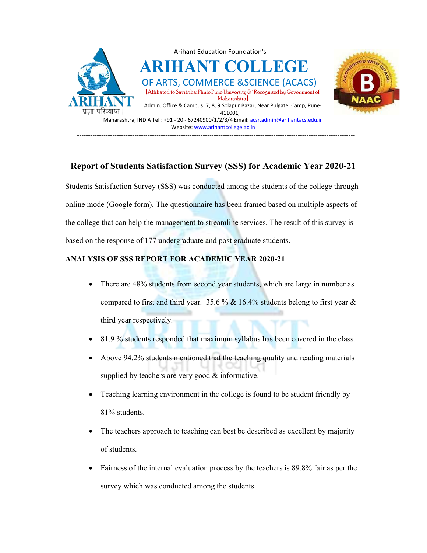

## Report of Students Satisfaction Survey (SSS) for Academic Year

Students Satisfaction Survey (SSS) was conducted among the students of the college through online mode (Google form). The questionnaire has been framed based on multiple aspects of the college that can help the management to streamline services. The result of this survey is based on the response of 177 undergraduate and post graduate students. m). The questionnaire has been framed based on multiple aspects<br>the management to streamline services. The result of this survey i<br>177 undergraduate and post graduate students. **Examples:**  $\frac{1}{13.9}$  Admin. Often & Campus:  $\frac{1}{13.9}$  As studients. Campus: Nurror Nurror Nurror Campus:  $\frac{1}{13.9}$  Mexicon  $\frac{1}{13.9}$  Mexicon  $\frac{1}{13.9}$  Mexicon  $\frac{1}{13.9}$  Mexicon  $\frac{1}{13.9}$  Mexicon  $\frac{$ Students Satisfaction Survey (SSS) was conducted among the students of the college throughouline mode (Google form). The questionnaire has been framed based on multiple aspects of the college that can help the management

## ANALYSIS OF SSS REPORT FOR FOR ACADEMIC YEAR 2020-21

- There are 48% students from second year students, which are large in number as compared to first and third year. 35.6 % & 16.4% students belong to first year & third year respectively.
- 81.9 % students responded that maximum syllabus has been covered in the class.
- Above 94.2% students mentioned that the teaching quality and reading materials supplied by teachers are very good & informative.
- Teaching learning environment in the college is found to be student friendly by 81% students.
- The teachers approach to teaching can best be described as excellent by majority of students.
- Fairness of the internal evaluation process by the teachers is 89.8% fair as per the survey which was conducted among the students.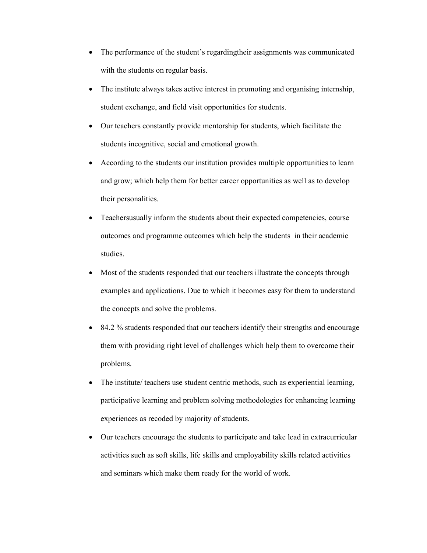- The performance of the student's regardingtheir assignments was communicated with the students on regular basis.
- The institute always takes active interest in promoting and organising internship, student exchange, and field visit opportunities for students.
- Our teachers constantly provide mentorship for students, which facilitate the students incognitive, social and emotional growth.
- According to the students our institution provides multiple opportunities to learn and grow; which help them for better career opportunities as well as to develop their personalities.
- Teachersusually inform the students about their expected competencies, course outcomes and programme outcomes which help the students in their academic studies.
- Most of the students responded that our teachers illustrate the concepts through examples and applications. Due to which it becomes easy for them to understand the concepts and solve the problems.
- 84.2 % students responded that our teachers identify their strengths and encourage them with providing right level of challenges which help them to overcome their problems.
- The institute/ teachers use student centric methods, such as experiential learning, participative learning and problem solving methodologies for enhancing learning experiences as recoded by majority of students.
- Our teachers encourage the students to participate and take lead in extracurricular activities such as soft skills, life skills and employability skills related activities and seminars which make them ready for the world of work.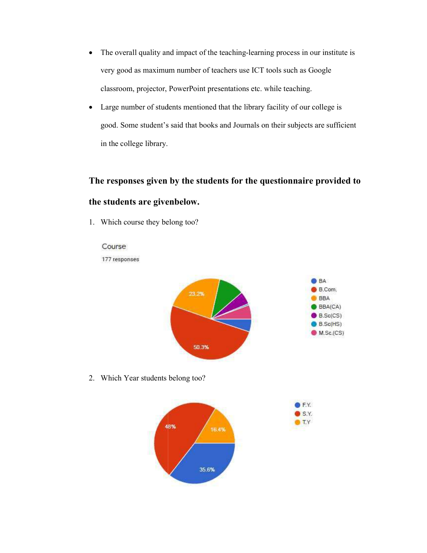- The overall quality and impact of the teaching-learning process in our institute is very good as maximum number of teachers use ICT tools such as Google very good as maximum number of teachers use ICT tools such as Google<br>classroom, projector, PowerPoint presentations etc. while teaching.
- Large number of students mentioned that the library facility of our college is very good as maximum number of teachers use ICT tools such as Google<br>classroom, projector, PowerPoint presentations etc. while teaching.<br>Large number of students mentioned that the library facility of our college is<br>good. in the college library. The overall quality and impact of the teaching-learning process in our institute is<br>very good as maximum number of teachers use ICT tools such as Google<br>classroom, projector, PowerPoint presentations etc. while teaching.<br>L

## The responses given by the students for the questionnaire provided to the students are givenbelow.

1. Which course they belong too?





S.Y.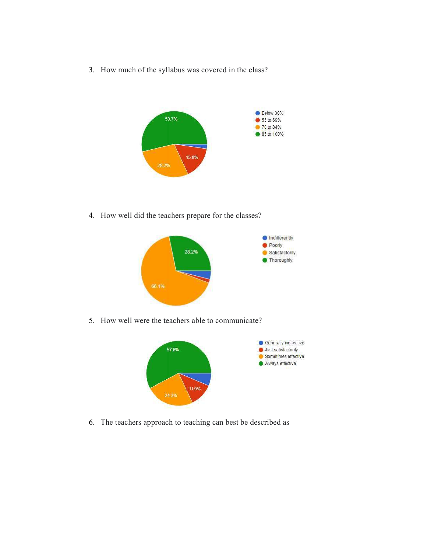3. How much of the syllabus was covered in the class?



4. How well did the teachers prepare for the



5. How well were the teachers able to communicate?



6. The teachers approach to teaching can best be described as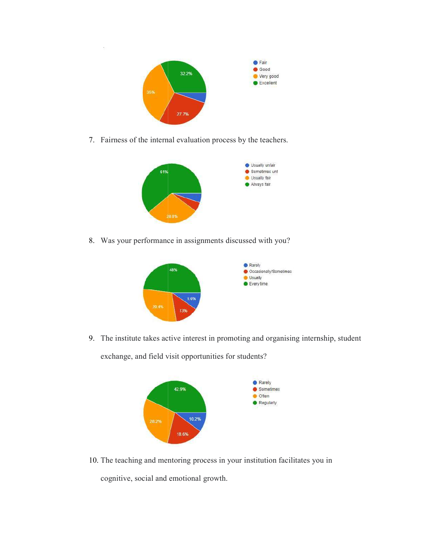

7. Fairness of the internal evaluation process by the teachers.



8. Was your performance in assignments discussed with you?



9. The institute takes active interest in promoting and organising internship, student exchange, and field visit opportunities for students?



10. The teaching and mentoring process in your institution facilitates you in cognitive, social and emotional growth.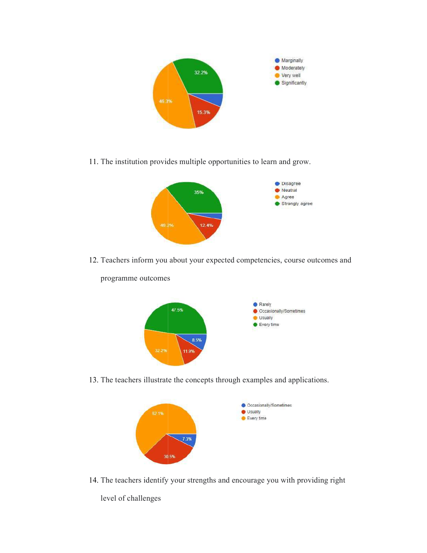

11. The institution provides multiple opportunities to learn and grow.



12. Teachers inform you about your expected competencies, course outcomes and



programme outcomes

13. The teachers illustrate the concepts through examples and applications.



14. The teachers identify your strengths and encourage you with providing right

level of challenges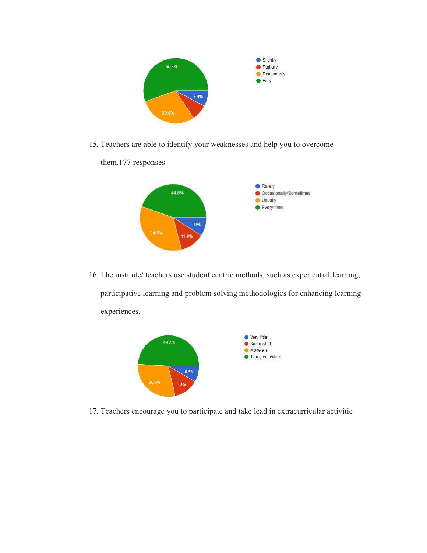

15. Teachers are able to identify your weaknesses and help you to overcome



16. The institute/ teachers use student centric methods, such as experiential participative learning and problem solving methodologies for enhancing learning





17. Teachers encourage you to participate and take lead in extracurricular activitie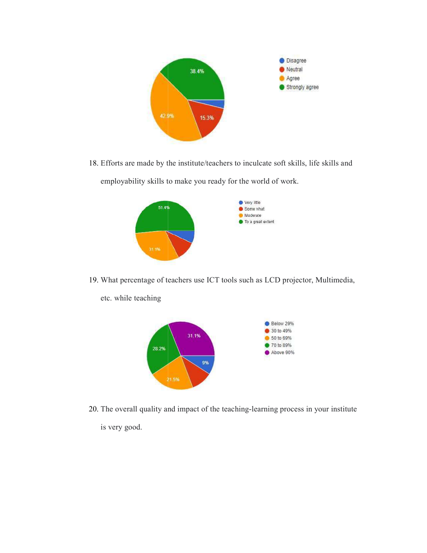

18. Efforts are made by the institute/teachers to inculcate soft skills, life skills and employability skills to make you ready for the world of work.



- 19. What percentage of teachers use ICT tools such as LCD projector, Multimedia,
	- etc. while teaching



20. The overall quality and impact of the teaching-learning process in your institute is very good.